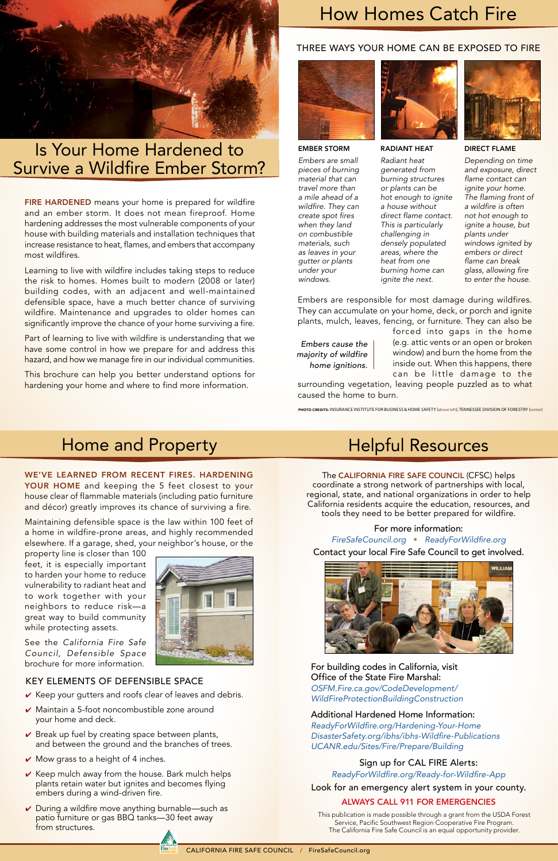

# Is Your Home Hardened to Survive a Wildfire Ember Storm?

# How Homes Catch Fire

# THREE WAYS YOUR HOME CAN BE EXPOSED TO FIRE



# Home and Property

This publication is made possible through a grant from the USDA Forest Service, Pacific Southwest Region Cooperative Fire Program. The California Fire Safe Council is an equal opportunity provider.

# Helpful Resources

#### The CALIFORNIA FIRE SAFE COUNCIL (CFSC) helps coordinate a strong network of partnerships with local, regional, state, and national organizations in order to help California residents acquire the education, resources, and tools they need to be better prepared for wildfire.

## For more information:

FIRE HARDENED means your home is prepared for wildfire and an ember storm. It does not mean fireproof. Home hardening addresses the most vulnerable components of your house with building materials and installation techniques that increase resistance to heat, flames, and embers that accompany most wildfires.

Learning to live with wildfire includes taking steps to reduce the risk to homes. Homes built to modern (2008 or later) building codes, with an adjacent and well-maintained defensible space, have a much better chance of surviving wildfire. Maintenance and upgrades to older homes can significantly improve the chance of your home surviving a fire.

> *[FireSafeCouncil.org](http://FireSafeCouncil.org)* • [ReadyForWildfire.org](http://ReadyForWildfire.org) Contact your local Fire Safe Council to get involved.



For building codes in California, visit Office of the State Fire Marshal: *[OSFM.Fire.ca.gov/CodeDevelopment/](http://osfm.fire.ca.gov/CodeDevelopment/WildFireProtectionBuildingConstruction) [WildFireProtectionBuildingConstruction](http://osfm.fire.ca.gov/CodeDevelopment/WildFireProtectionBuildingConstruction)*

# Additional Hardened Home Information:

R[eadyForWildfire.org/Hardening-Your-Home](http://www.readyforwildfire.org/Hardening-Your-Home/)  [DisasterSafety.org/ibhs/ibhs-Wildfire-Publications](http://disastersafety.org/ibhs/ibhs-Wildfire-Publications/) *[UCANR.edu/Sites/Fire/Prepare/Building](https://ucanr.edu/sites/fire/Wildfire/Prepare/Building/)*

# Sign up for CAL FIRE Alerts:

[ReadyForWildfire.org/Ready-for-Wildfire-App](http://ReadyForWildfire.org/Ready-for-Wildfire-App)

Look for an emergency alert system in your county.

# ALWAYS CALL 911 FOR EMERGENCIES

forced into gaps in the home (e.g. attic vents or an open or broken window) and burn the home from the inside out. When this happens, there can be little damage to the

surrounding vegetation, leaving people puzzled as to what caused the home to burn.

#### PHOTO CREDITS: INSURANCE INSTITUTE FOR BUSINESS & HOME SAFETY (above left); TENNESSEE DIVISION OF FORESTRY (center)

- $\vee$  Keep your gutters and roofs clear of leaves and debris.
- $\vee$  Maintain a 5-foot noncombustible zone around your home and deck.
- $\vee$  Break up fuel by creating space between plants, and between the ground and the branches of trees.
- $\vee$  Mow grass to a height of 4 inches.
- $\vee$  Keep mulch away from the house. Bark mulch helps plants retain water but ignites and becomes flying embers during a wind-driven fire.
- $\vee$  During a wildfire move anything burnable—such as patio furniture or gas BBQ tanks—30 feet away from structures.

Part of learning to live with wildfire is understanding that we have some control in how we prepare for and address this hazard, and how we manage fire in our individual communities.

This brochure can help you better understand options for hardening your home and where to find more information.

#### EMBER STORM

*Embers are small pieces of burning material that can travel more than a mile ahead of a wildfire. They can create spot fires when they land on combustible materials, such as leaves in your gutter or plants under your windows.*



#### RADIANT HEAT

*Radiant heat generated from burning structures or plants can be hot enough to ignite a house without direct flame contact. This is particularly challenging in densely populated areas, where the heat from one burning home can ignite the next.*



#### DIRECT FLAME

*Depending on time and exposure, direct flame contact can ignite your home. The flaming front of a wildfire is often not hot enough to ignite a house, but plants under windows ignited by embers or direct flame can break glass, allowing fire to enter the house.*

Embers are responsible for most damage during wildfires. They can accumulate on your home, deck, or porch and ignite plants, mulch, leaves, fencing, or furniture. They can also be

*Embers cause the majority of wildfire home ignitions.* 

# KEY ELEMENTS OF DEFENSIBLE SPACE

## WE'VE LEARNED FROM RECENT FIRES. HARDENING YOUR HOME and keeping the 5 feet closest to your house clear of flammable materials (including patio furniture and décor) greatly improves its chance of surviving a fire.

Maintaining defensible space is the law within 100 feet of a home in wildfire-prone areas, and highly recommended elsewhere. If a garage, shed, your neighbor's house, or the

property line is closer than 100 feet, it is especially important to harden your home to reduce vulnerability to radiant heat and to work together with your neighbors to reduce risk—a great way to build community while protecting assets.



See the *California Fire Safe Council, Defensible Space* brochure for more information.